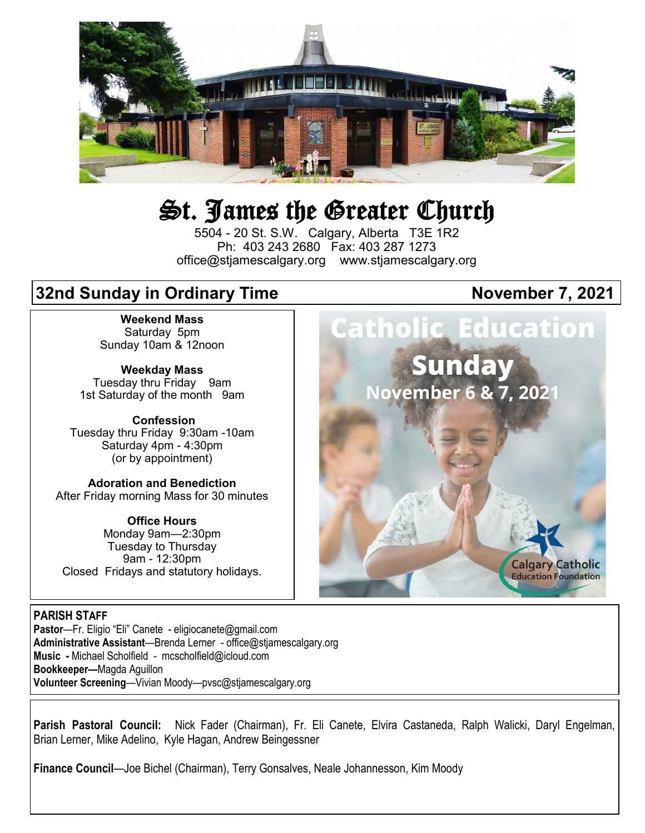

# St. James the Greater Church

5504 - 20 St. S.W. Calgary, Alberta T3E 1R2 Ph: 403 243 2680 Fax: 403 287 1273 office@stjamescalgary.org www.stjamescalgary.org

## **32nd Sunday in Ordinary Time Superior Contract Contract November 7, 2021**

**Weekend Mass** Saturday 5pm Sunday 10am & 12noon

**Weekday Mass** Tuesday thru Friday 9am 1st Saturday of the month 9am

**Confession** Tuesday thru Friday 9:30am -10am Saturday 4pm - 4:30pm (or by appointment)

**Adoration and Benediction**  After Friday morning Mass for 30 minutes

**Office Hours**  Monday 9am—2:30pm Tuesday to Thursday 9am - 12:30pm Closed Fridays and statutory holidays. atholic Education Sunday

November 6 & 7, 2021



#### **PARISH STAFF**

**Pastor**—Fr. Eligio "Eli" Canete - eligiocanete@gmail.com **Administrative Assistant**—Brenda Lerner - office@stjamescalgary.org **Music -** Michael Scholfield - mcscholfield@icloud.com **Bookkeeper—**Magda Aguillon **Volunteer Screening**—Vivian Moody—pvsc@stjamescalgary.org

**Parish Pastoral Council:** Nick Fader (Chairman), Fr. Eli Canete, Elvira Castaneda, Ralph Walicki, Daryl Engelman, Brian Lerner, Mike Adelino, Kyle Hagan, Andrew Beingessner

**Finance Council**—Joe Bichel (Chairman), Terry Gonsalves, Neale Johannesson, Kim Moody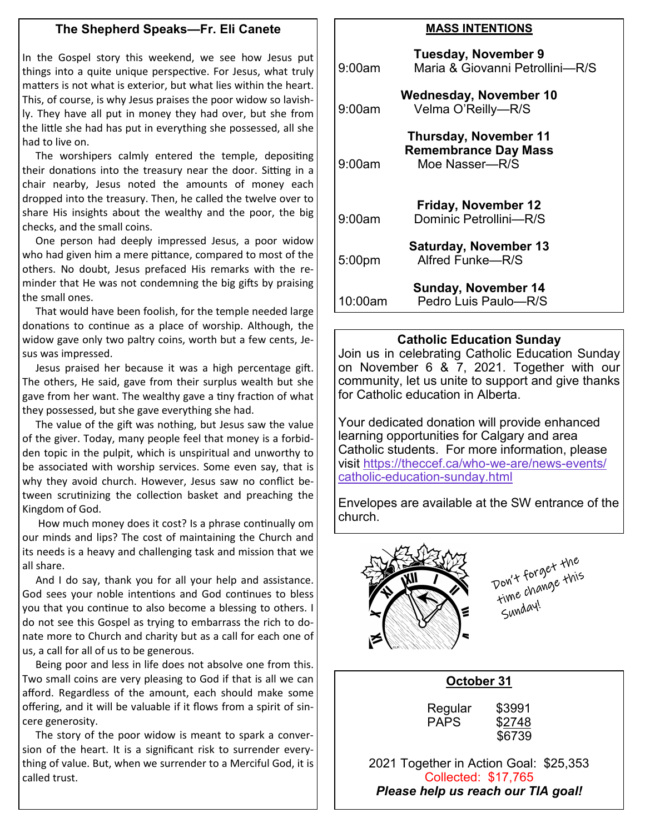#### **The Shepherd Speaks—Fr. Eli Canete**

In the Gospel story this weekend, we see how Jesus put things into a quite unique perspective. For Jesus, what truly matters is not what is exterior, but what lies within the heart. This, of course, is why Jesus praises the poor widow so lavishly. They have all put in money they had over, but she from the little she had has put in everything she possessed, all she had to live on.

 The worshipers calmly entered the temple, depositing their donations into the treasury near the door. Sitting in a chair nearby, Jesus noted the amounts of money each dropped into the treasury. Then, he called the twelve over to share His insights about the wealthy and the poor, the big checks, and the small coins.

 One person had deeply impressed Jesus, a poor widow who had given him a mere pittance, compared to most of the others. No doubt, Jesus prefaced His remarks with the reminder that He was not condemning the big gifts by praising the small ones.

 That would have been foolish, for the temple needed large donations to continue as a place of worship. Although, the widow gave only two paltry coins, worth but a few cents, Jesus was impressed.

 Jesus praised her because it was a high percentage gift. The others, He said, gave from their surplus wealth but she gave from her want. The wealthy gave a tiny fraction of what they possessed, but she gave everything she had.

 The value of the gift was nothing, but Jesus saw the value of the giver. Today, many people feel that money is a forbidden topic in the pulpit, which is unspiritual and unworthy to be associated with worship services. Some even say, that is why they avoid church. However, Jesus saw no conflict between scrutinizing the collection basket and preaching the Kingdom of God.

 How much money does it cost? Is a phrase continually om our minds and lips? The cost of maintaining the Church and its needs is a heavy and challenging task and mission that we all share.

 And I do say, thank you for all your help and assistance. God sees your noble intentions and God continues to bless you that you continue to also become a blessing to others. I do not see this Gospel as trying to embarrass the rich to donate more to Church and charity but as a call for each one of us, a call for all of us to be generous.

 Being poor and less in life does not absolve one from this. Two small coins are very pleasing to God if that is all we can afford. Regardless of the amount, each should make some offering, and it will be valuable if it flows from a spirit of sincere generosity.

 The story of the poor widow is meant to spark a conversion of the heart. It is a significant risk to surrender everything of value. But, when we surrender to a Merciful God, it is called trust.

#### **MASS INTENTIONS**

| 9:00am  | <b>Tuesday, November 9</b><br>Maria & Giovanni Petrollini—R/S                 |
|---------|-------------------------------------------------------------------------------|
| 9:00am  | <b>Wednesday, November 10</b><br>Velma O'Reilly-R/S                           |
| 9:00am  | <b>Thursday, November 11</b><br><b>Remembrance Day Mass</b><br>Moe Nasser-R/S |
| 9:00am  | Friday, November 12<br>Dominic Petrollini-R/S                                 |
| 5:00pm  | <b>Saturday, November 13</b><br>Alfred Funke-R/S                              |
| 10:00am | <b>Sunday, November 14</b><br>Pedro Luis Paulo-R/S                            |

#### **Catholic Education Sunday**

Join us in celebrating Catholic Education Sunday on November 6 & 7, 2021. Together with our community, let us unite to support and give thanks for Catholic education in Alberta.

Your dedicated donation will provide enhanced learning opportunities for Calgary and area Catholic students. For more information, please visit [https://theccef.ca/who](https://theccef.ca/who-we-are/news-events/catholic-education-sunday.html)-we-are/news-events/ catholic-education-[sunday.html](https://theccef.ca/who-we-are/news-events/catholic-education-sunday.html)

Envelopes are available at the SW entrance of the church.



Don't forget the<br>Ton't forget this<br>time change this Sunday!

#### **October 31**

| Regular     | \$3991 |
|-------------|--------|
| <b>PAPS</b> | \$2748 |
|             | \$6739 |

2021 Together in Action Goal: \$25,353 Collected: \$17,765 *Please help us reach our TIA goal!*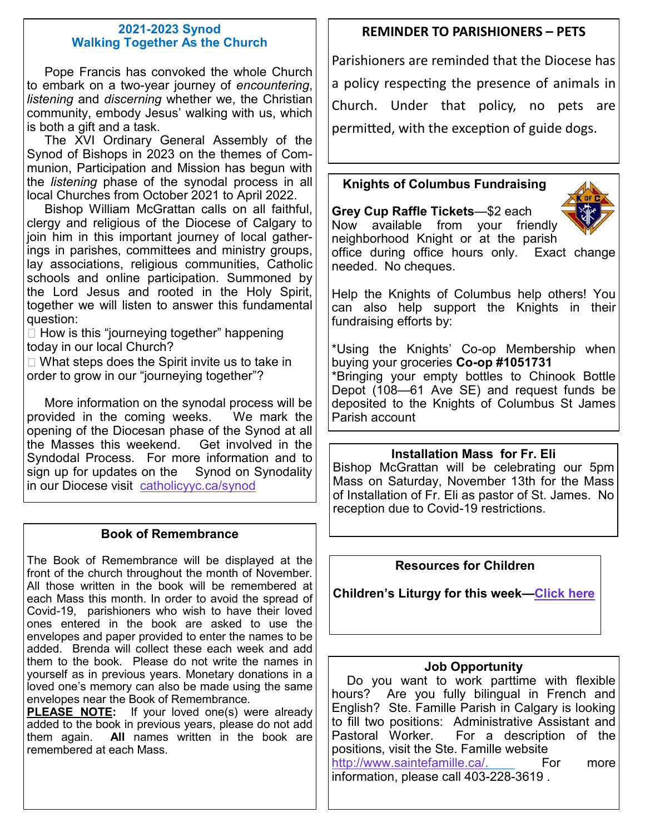#### **2021-2023 Synod Walking Together As the Church**

 Pope Francis has convoked the whole Church to embark on a two-year journey of *encountering*, *listening* and *discerning* whether we, the Christian community, embody Jesus' walking with us, which is both a gift and a task.

 The XVI Ordinary General Assembly of the Synod of Bishops in 2023 on the themes of Communion, Participation and Mission has begun with the *listening* phase of the synodal process in all local Churches from October 2021 to April 2022.

 Bishop William McGrattan calls on all faithful, clergy and religious of the Diocese of Calgary to join him in this important journey of local gatherings in parishes, committees and ministry groups, lay associations, religious communities, Catholic schools and online participation. Summoned by the Lord Jesus and rooted in the Holy Spirit, together we will listen to answer this fundamental question:

 $\Box$  How is this "journeying together" happening today in our local Church?

 $\Box$  What steps does the Spirit invite us to take in order to grow in our "journeying together"?

 More information on the synodal process will be provided in the coming weeks. We mark the opening of the Diocesan phase of the Synod at all the Masses this weekend. Get involved in the Syndodal Process. For more information and to sign up for updates on the Synod on Synodality in our Diocese visit [catholicyyc.ca/synod](https://www.catholicyyc.ca/synod.html)

## **Book of Remembrance**

The Book of Remembrance will be displayed at the front of the church throughout the month of November. All those written in the book will be remembered at each Mass this month. In order to avoid the spread of Covid-19, parishioners who wish to have their loved ones entered in the book are asked to use the envelopes and paper provided to enter the names to be added. Brenda will collect these each week and add them to the book. Please do not write the names in yourself as in previous years. Monetary donations in a loved one's memory can also be made using the same envelopes near the Book of Remembrance.

**PLEASE NOTE:** If your loved one(s) were already added to the book in previous years, please do not add them again. **All** names written in the book are remembered at each Mass.

## **REMINDER TO PARISHIONERS – PETS**

Parishioners are reminded that the Diocese has a policy respecting the presence of animals in Church. Under that policy, no pets are permitted, with the exception of guide dogs.

## **Knights of Columbus Fundraising**

**Grey Cup Raffle Tickets**—\$2 each Now available from your friendly



neighborhood Knight or at the parish office during office hours only. Exact change needed. No cheques.

Help the Knights of Columbus help others! You can also help support the Knights in their fundraising efforts by:

\*Using the Knights' Co-op Membership when buying your groceries **Co-op #1051731** \*Bringing your empty bottles to Chinook Bottle Depot (108—61 Ave SE) and request funds be deposited to the Knights of Columbus St James Parish account

## **Installation Mass for Fr. Eli**

Bishop McGrattan will be celebrating our 5pm Mass on Saturday, November 13th for the Mass of Installation of Fr. Eli as pastor of St. James. No reception due to Covid-19 restrictions.

## **Resources for Children**

**Children's Liturgy for this week—[Click here](https://thekidsbulletin.files.wordpress.com/2021/10/the-kids-bulletin-32nd-sunday.pdf)**

## **Job Opportunity**

Do you want to work parttime with flexible hours? Are you fully bilingual in French and English? Ste. Famille Parish in Calgary is looking to fill two positions: Administrative Assistant and Pastoral Worker. For a description of the positions, visit the Ste. Famille website [http://www.saintefamille.ca/.](http://www.saintefamille.ca/) For more information, please call 403-228-3619 .